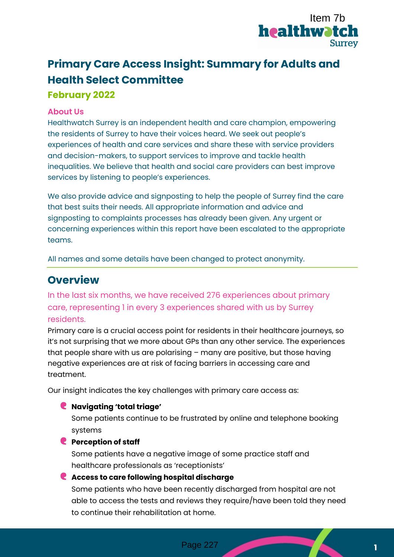

# **Primary Care Access Insight: Summary for Adults and Health Select Committee February 2022**

### **About Us**

Healthwatch Surrey is an independent health and care champion, empowering the residents of Surrey to have their voices heard. We seek out people's experiences of health and care services and share these with service providers and decision-makers, to support services to improve and tackle health inequalities. We believe that health and social care providers can best improve services by listening to people's experiences. **CONTABT THE SET ASSEM SET ASSEMBLEM THE SET ASSEMBLEM SET AND SURFACT SURFACT SURFACT SURFACT AND MONOGROMOTION CONSIDER AN UNITED AND MONOGROMOTION (THE SURFACT AND MONOGROMOTION (THE SURFACT AND MONOGROMOTION (THE SURFA** 

We also provide advice and signposting to help the people of Surrey find the care that best suits their needs. All appropriate information and advice and signposting to complaints processes has already been given. Any urgent or concerning experiences within this report have been escalated to the appropriate teams.

All names and some details have been changed to protect anonymity.

### **Overview**

In the last six months, we have received 276 experiences about primary care, representing 1 in every 3 experiences shared with us by Surrey residents.

Primary care is a crucial access point for residents in their healthcare journeys, so it's not surprising that we more about GPs than any other service. The experiences that people share with us are polarising – many are positive, but those having negative experiences are at risk of facing barriers in accessing care and treatment.

Our insight indicates the key challenges with primary care access as:

#### **Navigating 'total triage'**

Some patients continue to be frustrated by online and telephone booking systems

#### **Perception of staff**

Some patients have a negative image of some practice staff and healthcare professionals as 'receptionists'

### **Access to care following hospital discharge**

Some patients who have been recently discharged from hospital are not able to access the tests and reviews they require/have been told they need to continue their rehabilitation at home.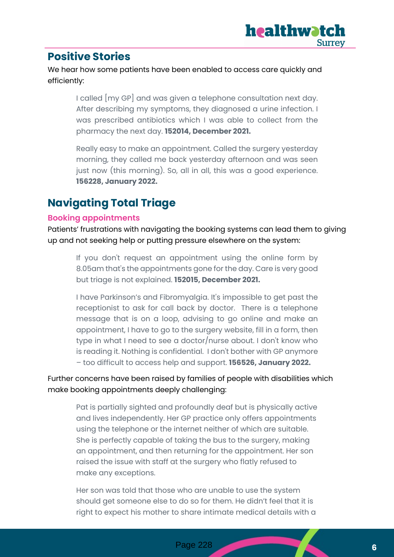## **Positive Stories**

We hear how some patients have been enabled to access care quickly and efficiently:

> I called [my GP] and was given a telephone consultation next day. After describing my symptoms, they diagnosed a urine infection. I was prescribed antibiotics which I was able to collect from the pharmacy the next day. **152014, December 2021.**

> Really easy to make an appointment. Called the surgery yesterday morning, they called me back yesterday afternoon and was seen just now (this morning). So, all in all, this was a good experience. **156228, January 2022.**

## **Navigating Total Triage**

### **Booking appointments**

Patients' frustrations with navigating the booking systems can lead them to giving up and not seeking help or putting pressure elsewhere on the system:

If you don't request an appointment using the online form by 8.05am that's the appointments gone for the day. Care is very good but triage is not explained. **152015, December 2021.**

I have Parkinson's and Fibromyalgia. It's impossible to get past the receptionist to ask for call back by doctor. There is a telephone message that is on a loop, advising to go online and make an appointment, I have to go to the surgery website, fill in a form, then type in what I need to see a doctor/nurse about. I don't know who is reading it. Nothing is confidential. I don't bother with GP anymore – too difficult to access help and support. **156526, January 2022.**

### Further concerns have been raised by families of people with disabilities which make booking appointments deeply challenging:

Pat is partially sighted and profoundly deaf but is physically active and lives independently. Her GP practice only offers appointments using the telephone or the internet neither of which are suitable. She is perfectly capable of taking the bus to the surgery, making an appointment, and then returning for the appointment. Her son raised the issue with staff at the surgery who flatly refused to make any exceptions.

Her son was told that those who are unable to use the system should get someone else to do so for them. He didn't feel that it is right to expect his mother to share intimate medical details with a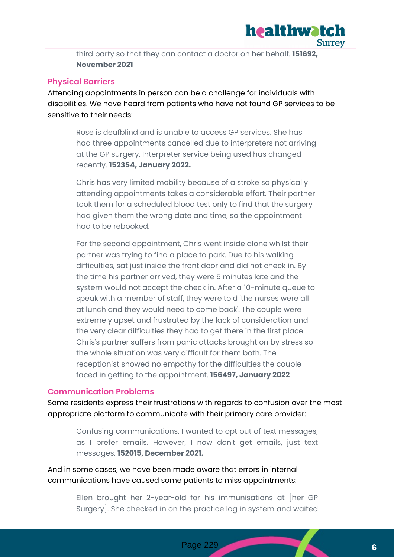

third party so that they can contact a doctor on her behalf. **151692, November 2021**

#### **Physical Barriers**

Attending appointments in person can be a challenge for individuals with disabilities. We have heard from patients who have not found GP services to be sensitive to their needs:

Rose is deafblind and is unable to access GP services. She has had three appointments cancelled due to interpreters not arriving at the GP surgery. Interpreter service being used has changed recently. **152354, January 2022.**

Chris has very limited mobility because of a stroke so physically attending appointments takes a considerable effort. Their partner took them for a scheduled blood test only to find that the surgery had given them the wrong date and time, so the appointment had to be rebooked.

For the second appointment, Chris went inside alone whilst their partner was trying to find a place to park. Due to his walking difficulties, sat just inside the front door and did not check in. By the time his partner arrived, they were 5 minutes late and the system would not accept the check in. After a 10-minute queue to speak with a member of staff, they were told 'the nurses were all at lunch and they would need to come back'. The couple were extremely upset and frustrated by the lack of consideration and the very clear difficulties they had to get there in the first place. Chris's partner suffers from panic attacks brought on by stress so the whole situation was very difficult for them both. The receptionist showed no empathy for the difficulties the couple faced in getting to the appointment. **156497, January 2022**

#### **Communication Problems**

Some residents express their frustrations with regards to confusion over the most appropriate platform to communicate with their primary care provider:

Confusing communications. I wanted to opt out of text messages, as I prefer emails. However, I now don't get emails, just text messages. **152015, December 2021.**

And in some cases, we have been made aware that errors in internal communications have caused some patients to miss appointments:

> Ellen brought her 2-year-old for his immunisations at [her GP Surgery]. She checked in on the practice log in system and waited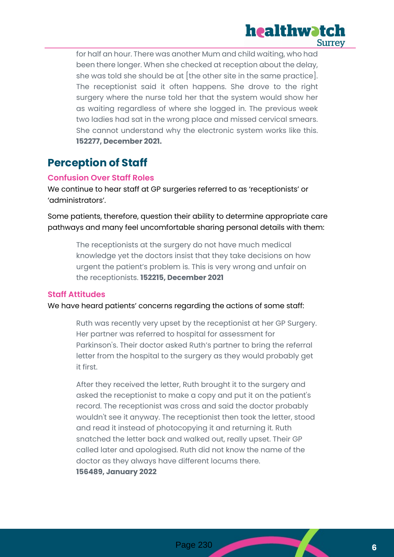

for half an hour. There was another Mum and child waiting, who had been there longer. When she checked at reception about the delay, she was told she should be at [the other site in the same practice]. The receptionist said it often happens. She drove to the right surgery where the nurse told her that the system would show her as waiting regardless of where she logged in. The previous week two ladies had sat in the wrong place and missed cervical smears. She cannot understand why the electronic system works like this. **152277, December 2021.**

## **Perception of Staff**

#### **Confusion Over Staff Roles**

We continue to hear staff at GP surgeries referred to as 'receptionists' or 'administrators'.

Some patients, therefore, question their ability to determine appropriate care pathways and many feel uncomfortable sharing personal details with them:

> The receptionists at the surgery do not have much medical knowledge yet the doctors insist that they take decisions on how urgent the patient's problem is. This is very wrong and unfair on the receptionists. **152215, December 2021**

#### **Staff Attitudes**

We have heard patients' concerns regarding the actions of some staff:

Ruth was recently very upset by the receptionist at her GP Surgery. Her partner was referred to hospital for assessment for Parkinson's. Their doctor asked Ruth's partner to bring the referral letter from the hospital to the surgery as they would probably get it first.

After they received the letter, Ruth brought it to the surgery and asked the receptionist to make a copy and put it on the patient's record. The receptionist was cross and said the doctor probably wouldn't see it anyway. The receptionist then took the letter, stood and read it instead of photocopying it and returning it. Ruth snatched the letter back and walked out, really upset. Their GP called later and apologised. Ruth did not know the name of the doctor as they always have different locums there. **156489, January 2022**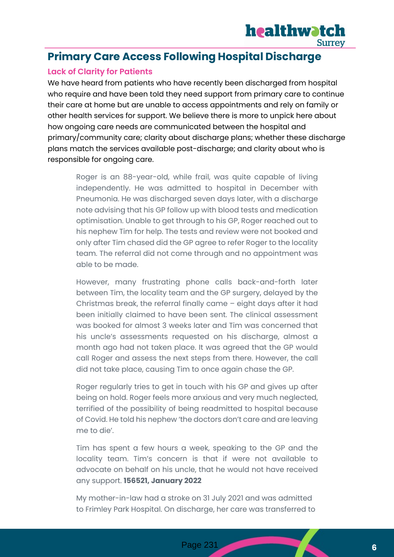

## **Primary Care Access Following Hospital Discharge**

### **Lack of Clarity for Patients**

We have heard from patients who have recently been discharged from hospital who require and have been told they need support from primary care to continue their care at home but are unable to access appointments and rely on family or other health services for support. We believe there is more to unpick here about how ongoing care needs are communicated between the hospital and primary/community care; clarity about discharge plans; whether these discharge plans match the services available post-discharge; and clarity about who is responsible for ongoing care.

Roger is an 88-year-old, while frail, was quite capable of living independently. He was admitted to hospital in December with Pneumonia. He was discharged seven days later, with a discharge note advising that his GP follow up with blood tests and medication optimisation. Unable to get through to his GP, Roger reached out to his nephew Tim for help. The tests and review were not booked and only after Tim chased did the GP agree to refer Roger to the locality team. The referral did not come through and no appointment was able to be made.

However, many frustrating phone calls back-and-forth later between Tim, the locality team and the GP surgery, delayed by the Christmas break, the referral finally came – eight days after it had been initially claimed to have been sent. The clinical assessment was booked for almost 3 weeks later and Tim was concerned that his uncle's assessments requested on his discharge, almost a month ago had not taken place. It was agreed that the GP would call Roger and assess the next steps from there. However, the call did not take place, causing Tim to once again chase the GP.

Roger regularly tries to get in touch with his GP and gives up after being on hold. Roger feels more anxious and very much neglected, terrified of the possibility of being readmitted to hospital because of Covid. He told his nephew 'the doctors don't care and are leaving me to die'.

Tim has spent a few hours a week, speaking to the GP and the locality team. Tim's concern is that if were not available to advocate on behalf on his uncle, that he would not have received any support. **156521, January 2022**

My mother-in-law had a stroke on 31 July 2021 and was admitted to Frimley Park Hospital. On discharge, her care was transferred to